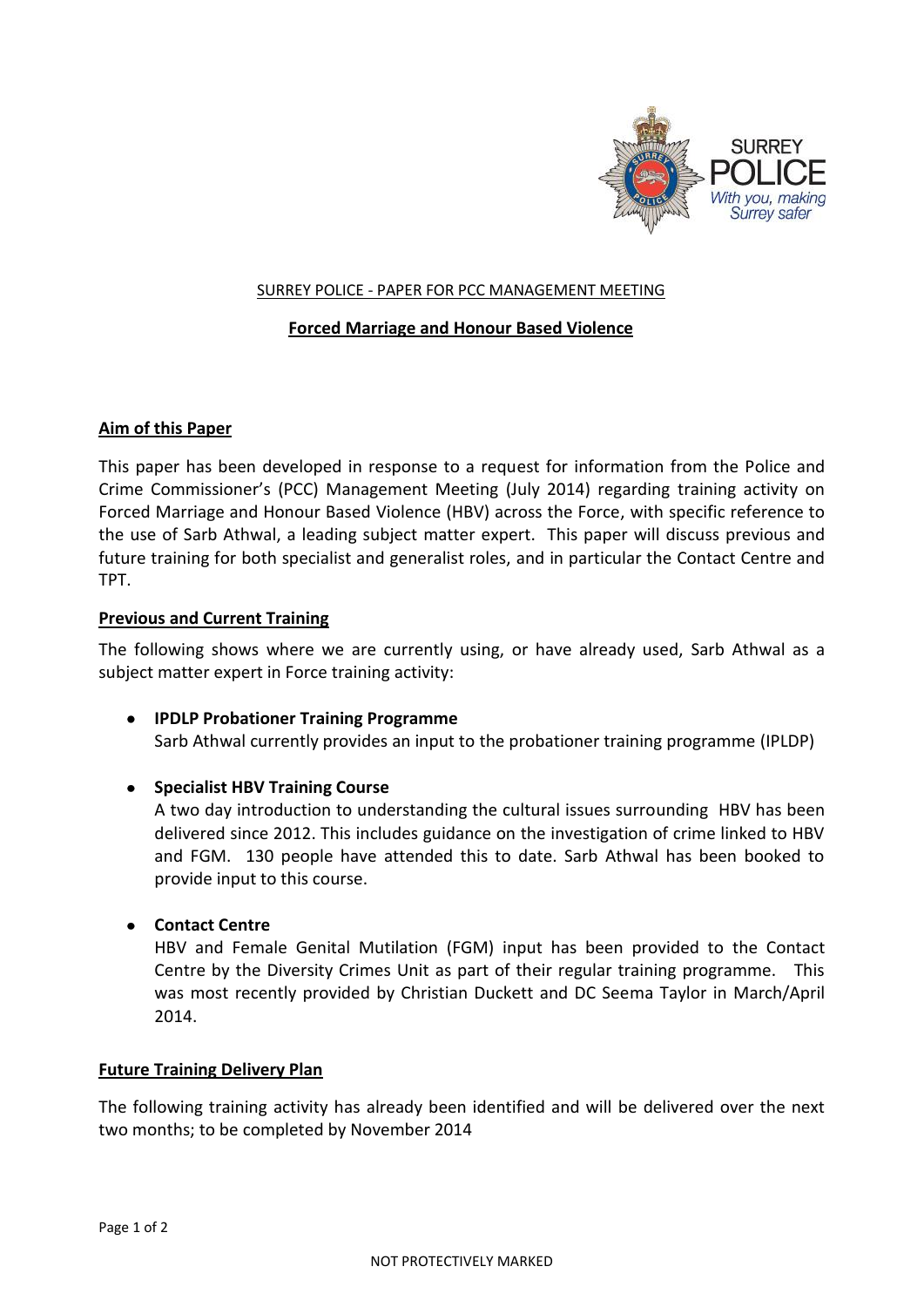

## SURREY POLICE - PAPER FOR PCC MANAGEMENT MEETING

## **Forced Marriage and Honour Based Violence**

### **Aim of this Paper**

This paper has been developed in response to a request for information from the Police and Crime Commissioner's (PCC) Management Meeting (July 2014) regarding training activity on Forced Marriage and Honour Based Violence (HBV) across the Force, with specific reference to the use of Sarb Athwal, a leading subject matter expert. This paper will discuss previous and future training for both specialist and generalist roles, and in particular the Contact Centre and TPT.

### **Previous and Current Training**

The following shows where we are currently using, or have already used, Sarb Athwal as a subject matter expert in Force training activity:

**IPDLP Probationer Training Programme** Sarb Athwal currently provides an input to the probationer training programme (IPLDP)

## **•** Specialist HBV Training Course

A two day introduction to understanding the cultural issues surrounding HBV has been delivered since 2012. This includes guidance on the investigation of crime linked to HBV and FGM. 130 people have attended this to date. Sarb Athwal has been booked to provide input to this course.

## **Contact Centre**

HBV and Female Genital Mutilation (FGM) input has been provided to the Contact Centre by the Diversity Crimes Unit as part of their regular training programme. This was most recently provided by Christian Duckett and DC Seema Taylor in March/April 2014.

## **Future Training Delivery Plan**

The following training activity has already been identified and will be delivered over the next two months; to be completed by November 2014